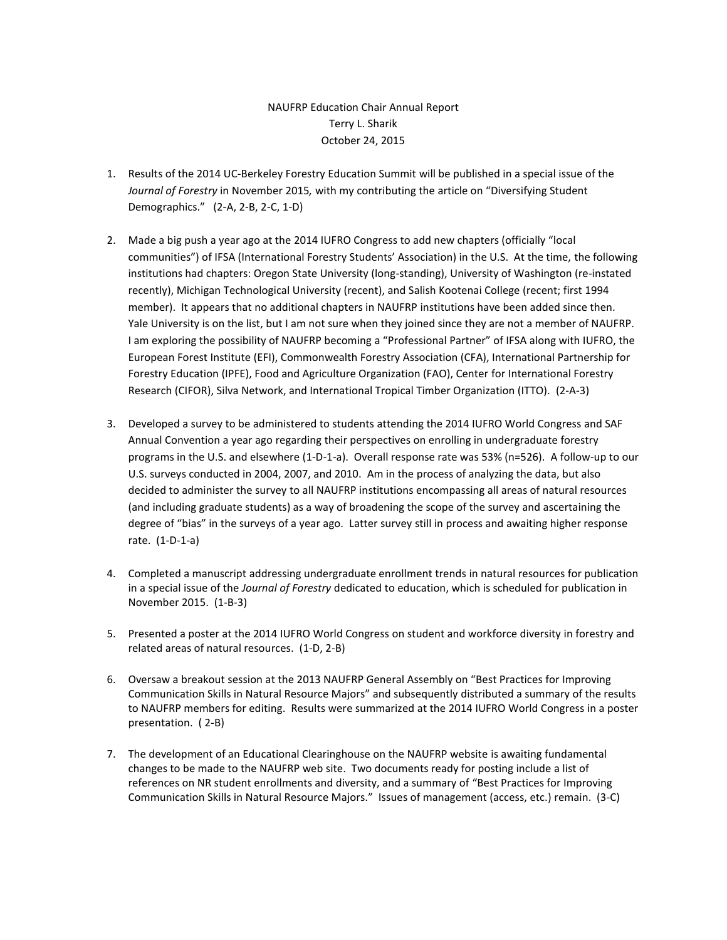## NAUFRP Education Chair Annual Report Terry L. Sharik October 24, 2015

- 1. Results of the 2014 UC-Berkeley Forestry Education Summit will be published in a special issue of the *Journal of Forestry* in November 2015*,* with my contributing the article on "Diversifying Student Demographics." (2-A, 2-B, 2-C, 1-D)
- 2. Made a big push a year ago at the 2014 IUFRO Congress to add new chapters (officially "local communities") of IFSA (International Forestry Students' Association) in the U.S. At the time, the following institutions had chapters: Oregon State University (long-standing), University of Washington (re-instated recently), Michigan Technological University (recent), and Salish Kootenai College (recent; first 1994 member). It appears that no additional chapters in NAUFRP institutions have been added since then. Yale University is on the list, but I am not sure when they joined since they are not a member of NAUFRP. I am exploring the possibility of NAUFRP becoming a "Professional Partner" of IFSA along with IUFRO, the European Forest Institute (EFI), Commonwealth Forestry Association (CFA), International Partnership for Forestry Education (IPFE), Food and Agriculture Organization (FAO), Center for International Forestry Research (CIFOR), Silva Network, and International Tropical Timber Organization (ITTO). (2-A-3)
- 3. Developed a survey to be administered to students attending the 2014 IUFRO World Congress and SAF Annual Convention a year ago regarding their perspectives on enrolling in undergraduate forestry programs in the U.S. and elsewhere (1-D-1-a). Overall response rate was 53% (n=526). A follow-up to our U.S. surveys conducted in 2004, 2007, and 2010. Am in the process of analyzing the data, but also decided to administer the survey to all NAUFRP institutions encompassing all areas of natural resources (and including graduate students) as a way of broadening the scope of the survey and ascertaining the degree of "bias" in the surveys of a year ago. Latter survey still in process and awaiting higher response rate. (1-D-1-a)
- 4. Completed a manuscript addressing undergraduate enrollment trends in natural resources for publication in a special issue of the *Journal of Forestry* dedicated to education, which is scheduled for publication in November 2015. (1-B-3)
- 5. Presented a poster at the 2014 IUFRO World Congress on student and workforce diversity in forestry and related areas of natural resources. (1-D, 2-B)
- 6. Oversaw a breakout session at the 2013 NAUFRP General Assembly on "Best Practices for Improving Communication Skills in Natural Resource Majors" and subsequently distributed a summary of the results to NAUFRP members for editing. Results were summarized at the 2014 IUFRO World Congress in a poster presentation. ( 2-B)
- 7. The development of an Educational Clearinghouse on the NAUFRP website is awaiting fundamental changes to be made to the NAUFRP web site. Two documents ready for posting include a list of references on NR student enrollments and diversity, and a summary of "Best Practices for Improving Communication Skills in Natural Resource Majors." Issues of management (access, etc.) remain. (3-C)